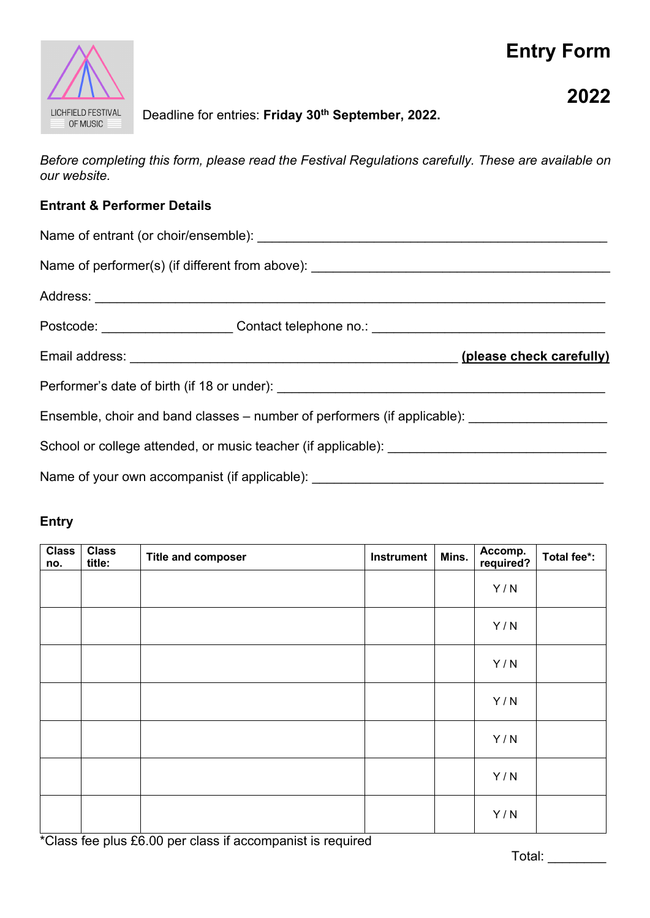# **Entry Form**



## **2022**

## Deadline for entries: **Friday 30th September, 2022.**

*Before completing this form, please read the Festival Regulations carefully. These are available on our website.*

#### **Entrant & Performer Details**

|                                                                                                     | Postcode: ________________________Contact telephone no.: ________________________ |  |  |  |
|-----------------------------------------------------------------------------------------------------|-----------------------------------------------------------------------------------|--|--|--|
|                                                                                                     | (please check carefully)                                                          |  |  |  |
|                                                                                                     |                                                                                   |  |  |  |
| Ensemble, choir and band classes – number of performers (if applicable): __________________________ |                                                                                   |  |  |  |
|                                                                                                     |                                                                                   |  |  |  |
| Name of your own accompanist (if applicable):                                                       |                                                                                   |  |  |  |

#### **Entry**

| <b>Class</b><br>no. | <b>Class</b><br>title: | <b>Title and composer</b> | Instrument | Mins. | Accomp.<br>required? | Total fee*: |
|---------------------|------------------------|---------------------------|------------|-------|----------------------|-------------|
|                     |                        |                           |            |       | Y/N                  |             |
|                     |                        |                           |            |       | Y/N                  |             |
|                     |                        |                           |            |       | Y/N                  |             |
|                     |                        |                           |            |       | Y/N                  |             |
|                     |                        |                           |            |       | Y/N                  |             |
|                     |                        |                           |            |       | Y/N                  |             |
|                     |                        |                           |            |       | Y/N                  |             |